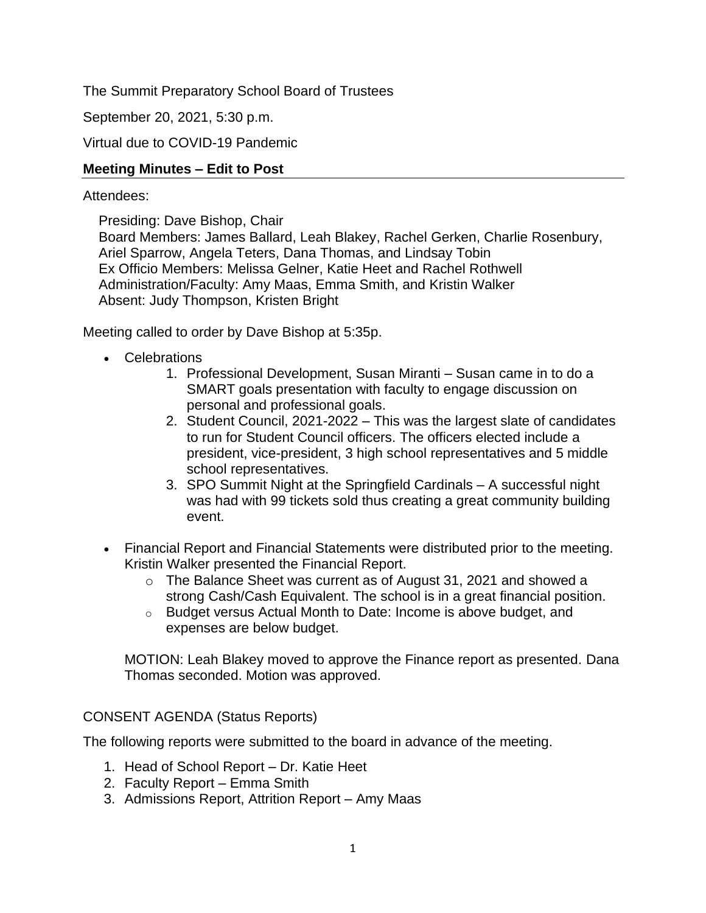The Summit Preparatory School Board of Trustees

September 20, 2021, 5:30 p.m.

Virtual due to COVID-19 Pandemic

# **Meeting Minutes – Edit to Post**

## Attendees:

Presiding: Dave Bishop, Chair

Board Members: James Ballard, Leah Blakey, Rachel Gerken, Charlie Rosenbury, Ariel Sparrow, Angela Teters, Dana Thomas, and Lindsay Tobin Ex Officio Members: Melissa Gelner, Katie Heet and Rachel Rothwell Administration/Faculty: Amy Maas, Emma Smith, and Kristin Walker Absent: Judy Thompson, Kristen Bright

Meeting called to order by Dave Bishop at 5:35p.

- Celebrations
	- 1. Professional Development, Susan Miranti Susan came in to do a SMART goals presentation with faculty to engage discussion on personal and professional goals.
	- 2. Student Council, 2021-2022 This was the largest slate of candidates to run for Student Council officers. The officers elected include a president, vice-president, 3 high school representatives and 5 middle school representatives.
	- 3. SPO Summit Night at the Springfield Cardinals A successful night was had with 99 tickets sold thus creating a great community building event.
- Financial Report and Financial Statements were distributed prior to the meeting. Kristin Walker presented the Financial Report.
	- o The Balance Sheet was current as of August 31, 2021 and showed a strong Cash/Cash Equivalent. The school is in a great financial position.
	- o Budget versus Actual Month to Date: Income is above budget, and expenses are below budget.

MOTION: Leah Blakey moved to approve the Finance report as presented. Dana Thomas seconded. Motion was approved.

### CONSENT AGENDA (Status Reports)

The following reports were submitted to the board in advance of the meeting.

- 1. Head of School Report Dr. Katie Heet
- 2. Faculty Report Emma Smith
- 3. Admissions Report, Attrition Report Amy Maas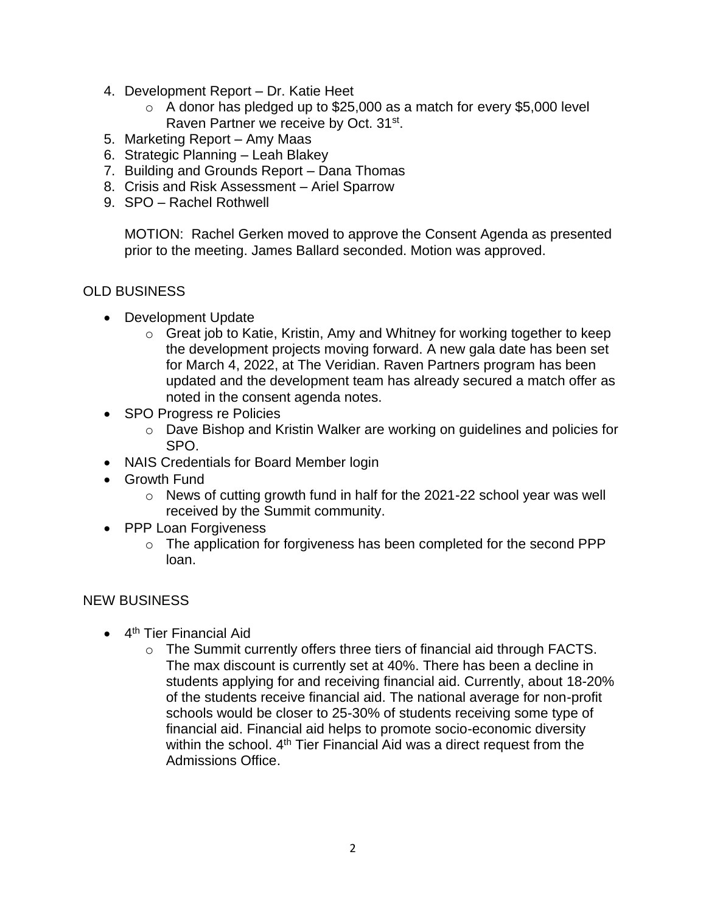- 4. Development Report Dr. Katie Heet
	- $\circ$  A donor has pledged up to \$25,000 as a match for every \$5,000 level Raven Partner we receive by Oct. 31<sup>st</sup>.
- 5. Marketing Report Amy Maas
- 6. Strategic Planning Leah Blakey
- 7. Building and Grounds Report Dana Thomas
- 8. Crisis and Risk Assessment Ariel Sparrow
- 9. SPO Rachel Rothwell

MOTION: Rachel Gerken moved to approve the Consent Agenda as presented prior to the meeting. James Ballard seconded. Motion was approved.

# OLD BUSINESS

- Development Update
	- o Great job to Katie, Kristin, Amy and Whitney for working together to keep the development projects moving forward. A new gala date has been set for March 4, 2022, at The Veridian. Raven Partners program has been updated and the development team has already secured a match offer as noted in the consent agenda notes.
- SPO Progress re Policies
	- o Dave Bishop and Kristin Walker are working on guidelines and policies for SPO.
- NAIS Credentials for Board Member login
- Growth Fund
	- o News of cutting growth fund in half for the 2021-22 school year was well received by the Summit community.
- PPP Loan Forgiveness
	- $\circ$  The application for forgiveness has been completed for the second PPP loan.

### NEW BUSINESS

- 4<sup>th</sup> Tier Financial Aid
	- o The Summit currently offers three tiers of financial aid through FACTS. The max discount is currently set at 40%. There has been a decline in students applying for and receiving financial aid. Currently, about 18-20% of the students receive financial aid. The national average for non-profit schools would be closer to 25-30% of students receiving some type of financial aid. Financial aid helps to promote socio-economic diversity within the school. 4<sup>th</sup> Tier Financial Aid was a direct request from the Admissions Office.